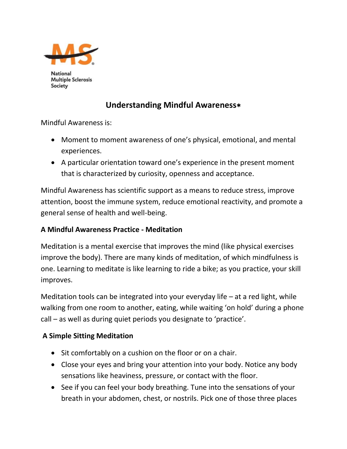

**National Multiple Sclerosis** Society

## **Understanding Mindful Awareness**∗

Mindful Awareness is:

- Moment to moment awareness of one's physical, emotional, and mental experiences.
- A particular orientation toward one's experience in the present moment that is characterized by curiosity, openness and acceptance.

Mindful Awareness has scientific support as a means to reduce stress, improve attention, boost the immune system, reduce emotional reactivity, and promote a general sense of health and well-being.

## **A Mindful Awareness Practice - Meditation**

Meditation is a mental exercise that improves the mind (like physical exercises improve the body). There are many kinds of meditation, of which mindfulness is one. Learning to meditate is like learning to ride a bike; as you practice, your skill improves.

Meditation tools can be integrated into your everyday life – at a red light, while walking from one room to another, eating, while waiting 'on hold' during a phone call – as well as during quiet periods you designate to 'practice'.

## **A Simple Sitting Meditation**

- Sit comfortably on a cushion on the floor or on a chair.
- Close your eyes and bring your attention into your body. Notice any body sensations like heaviness, pressure, or contact with the floor.
- See if you can feel your body breathing. Tune into the sensations of your breath in your abdomen, chest, or nostrils. Pick one of those three places